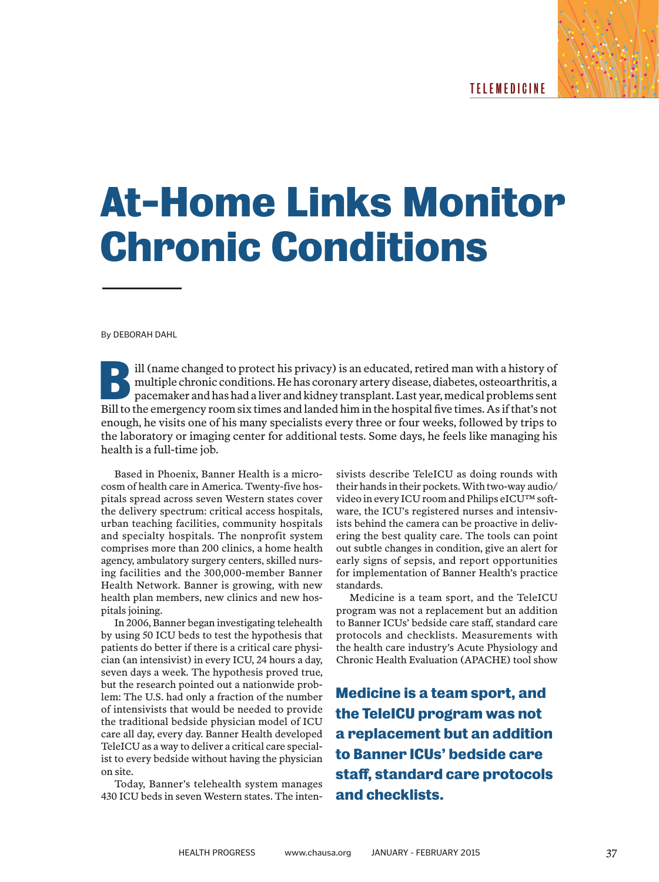### TELEMEDICINE

# **At-Home Links Monitor Chronic Conditions**

By DEBORAH DAHL

ill (name changed to protect his privacy) is an educated, retired man with a history of multiple chronic conditions. He has coronary artery disease, diabetes, osteoarthritis, a pacemaker and has had a liver and kidney transplant. Last year, medical problems sent Bill to the emergency room six times and landed him in the hospital five times. As if that's not enough, he visits one of his many specialists every three or four weeks, followed by trips to the laboratory or imaging center for additional tests. Some days, he feels like managing his health is a full-time job. **B**<br>Pill to

Based in Phoenix, Banner Health is a microcosm of health care in America. Twenty-five hospitals spread across seven Western states cover the delivery spectrum: critical access hospitals, urban teaching facilities, community hospitals and specialty hospitals. The nonprofit system comprises more than 200 clinics, a home health agency, ambulatory surgery centers, skilled nursing facilities and the 300,000-member Banner Health Network. Banner is growing, with new health plan members, new clinics and new hospitals joining.

In 2006, Banner began investigating telehealth by using 50 ICU beds to test the hypothesis that patients do better if there is a critical care physician (an intensivist) in every ICU, 24 hours a day, seven days a week. The hypothesis proved true, but the research pointed out a nationwide problem: The U.S. had only a fraction of the number of intensivists that would be needed to provide the traditional bedside physician model of ICU care all day, every day. Banner Health developed TeleICU as a way to deliver a critical care specialist to every bedside without having the physician on site.

Today, Banner's telehealth system manages 430 ICU beds in seven Western states. The intensivists describe TeleICU as doing rounds with their hands in their pockets. With two-way audio/ video in every ICU room and Philips eICU™ software, the ICU's registered nurses and intensivists behind the camera can be proactive in delivering the best quality care. The tools can point out subtle changes in condition, give an alert for early signs of sepsis, and report opportunities for implementation of Banner Health's practice standards.

Medicine is a team sport, and the TeleICU program was not a replacement but an addition to Banner ICUs' bedside care staff, standard care protocols and checklists. Measurements with the health care industry's Acute Physiology and Chronic Health Evaluation (APACHE) tool show

**Medicine is a team sport, and the TeleICU program was not a replacement but an addition to Banner ICUs' bedside care staff, standard care protocols and checklists.**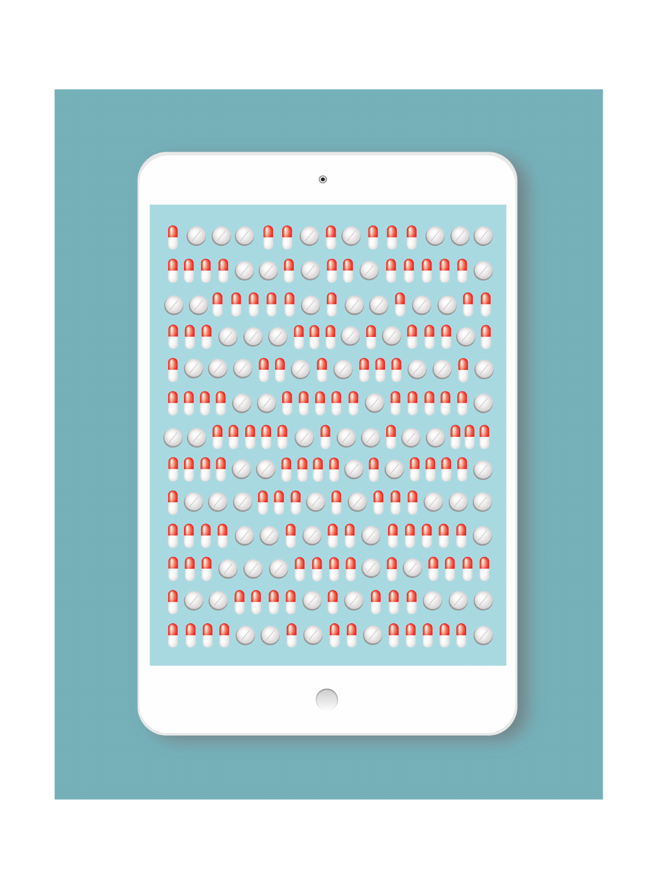

 $\begin{matrix} \bullet \\ \bullet \end{matrix}$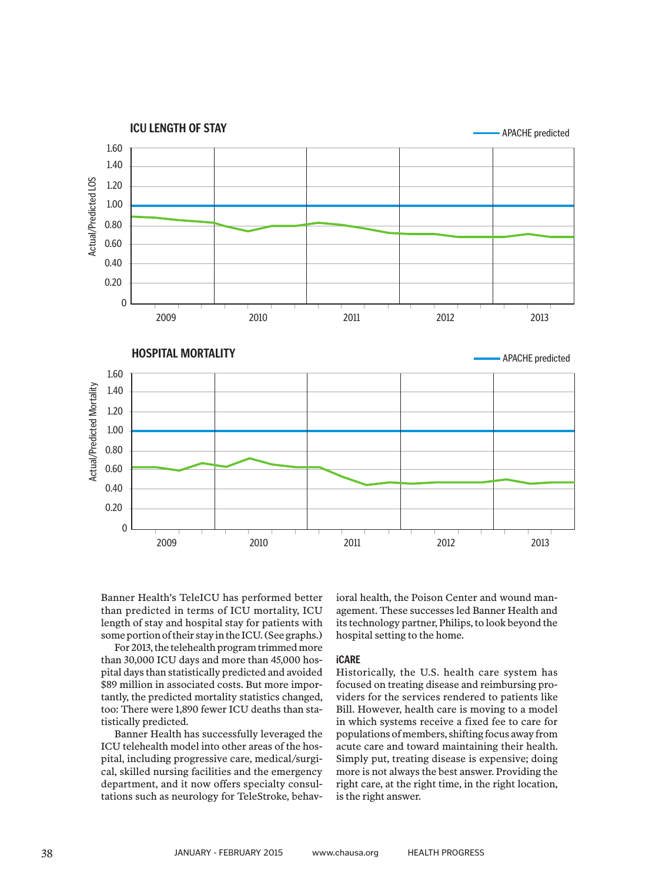

Banner Health's TeleICU has performed better than predicted in terms of ICU mortality, ICU length of stay and hospital stay for patients with some portion of their stay in the ICU. (See graphs.)

For 2013, the telehealth program trimmed more than 30,000 ICU days and more than 45,000 hospital days than statistically predicted and avoided \$89 million in associated costs. But more importantly, the predicted mortality statistics changed, too: There were 1,890 fewer ICU deaths than statistically predicted.

Banner Health has successfully leveraged the ICU telehealth model into other areas of the hospital, including progressive care, medical/surgical, skilled nursing facilities and the emergency department, and it now offers specialty consultations such as neurology for TeleStroke, behavioral health, the Poison Center and wound management. These successes led Banner Health and its technology partner, Philips, to look beyond the hospital setting to the home.

#### **iCARE**

Historically, the U.S. health care system has focused on treating disease and reimbursing providers for the services rendered to patients like Bill. However, health care is moving to a model in which systems receive a fixed fee to care for populations of members, shifting focus away from acute care and toward maintaining their health. Simply put, treating disease is expensive; doing more is not always the best answer. Providing the right care, at the right time, in the right location, is the right answer.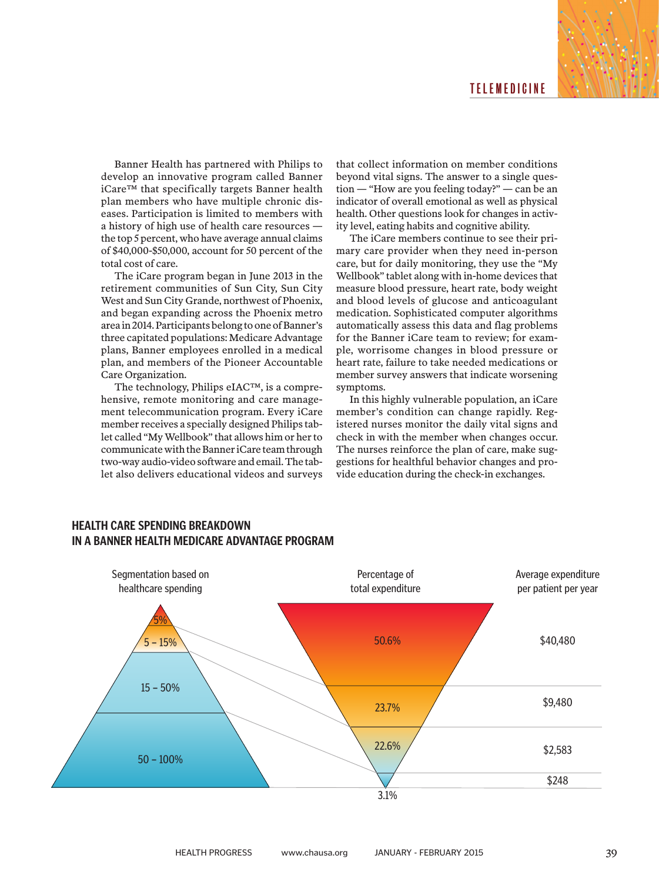

Banner Health has partnered with Philips to develop an innovative program called Banner iCare™ that specifically targets Banner health plan members who have multiple chronic diseases. Participation is limited to members with a history of high use of health care resources the top 5 percent, who have average annual claims of \$40,000-\$50,000, account for 50 percent of the total cost of care.

The iCare program began in June 2013 in the retirement communities of Sun City, Sun City West and Sun City Grande, northwest of Phoenix, and began expanding across the Phoenix metro area in 2014. Participants belong to one of Banner's three capitated populations: Medicare Advantage plans, Banner employees enrolled in a medical plan, and members of the Pioneer Accountable Care Organization.

The technology, Philips eIAC™, is a comprehensive, remote monitoring and care management telecommunication program. Every iCare member receives a specially designed Philips tablet called "My Wellbook" that allows him or her to communicate with the Banner iCare team through two-way audio-video software and email. The tablet also delivers educational videos and surveys that collect information on member conditions beyond vital signs. The answer to a single question — "How are you feeling today?" — can be an indicator of overall emotional as well as physical health. Other questions look for changes in activity level, eating habits and cognitive ability.

The iCare members continue to see their primary care provider when they need in-person care, but for daily monitoring, they use the "My Wellbook" tablet along with in-home devices that measure blood pressure, heart rate, body weight and blood levels of glucose and anticoagulant medication. Sophisticated computer algorithms automatically assess this data and flag problems for the Banner iCare team to review; for example, worrisome changes in blood pressure or heart rate, failure to take needed medications or member survey answers that indicate worsening symptoms.

In this highly vulnerable population, an iCare member's condition can change rapidly. Registered nurses monitor the daily vital signs and check in with the member when changes occur. The nurses reinforce the plan of care, make suggestions for healthful behavior changes and provide education during the check-in exchanges.



### **HEALTH CARE SPENDING BREAKDOWN IN A BANNER HEALTH MEDICARE ADVANTAGE PROGRAM**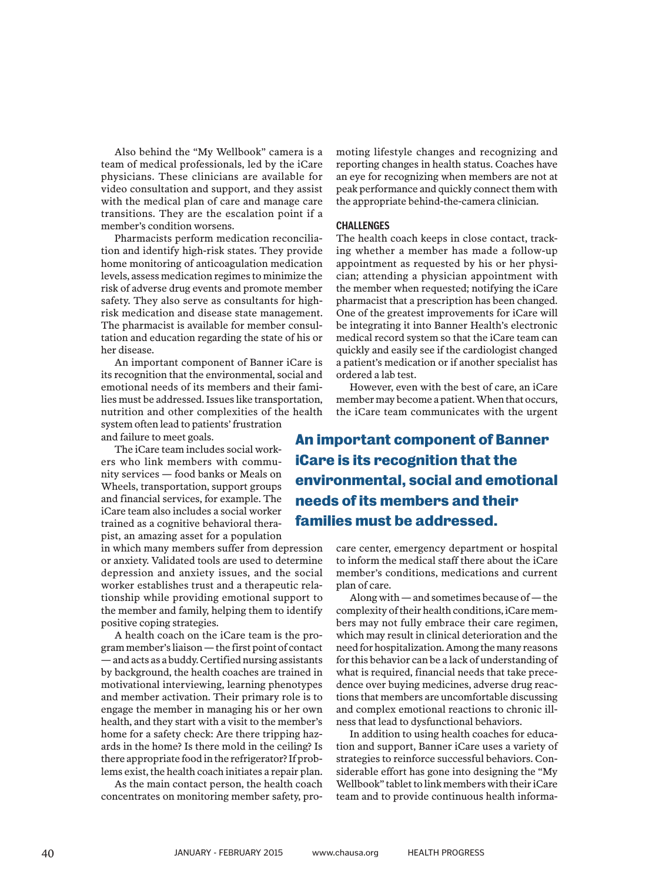Also behind the "My Wellbook" camera is a team of medical professionals, led by the iCare physicians. These clinicians are available for video consultation and support, and they assist with the medical plan of care and manage care transitions. They are the escalation point if a member's condition worsens.

Pharmacists perform medication reconciliation and identify high-risk states. They provide home monitoring of anticoagulation medication levels, assess medication regimes to minimize the risk of adverse drug events and promote member safety. They also serve as consultants for highrisk medication and disease state management. The pharmacist is available for member consultation and education regarding the state of his or her disease.

An important component of Banner iCare is its recognition that the environmental, social and emotional needs of its members and their families must be addressed. Issues like transportation, nutrition and other complexities of the health system often lead to patients' frustration

and failure to meet goals. The iCare team includes social work-

ers who link members with community services — food banks or Meals on Wheels, transportation, support groups and financial services, for example. The iCare team also includes a social worker trained as a cognitive behavioral therapist, an amazing asset for a population

in which many members suffer from depression or anxiety. Validated tools are used to determine depression and anxiety issues, and the social worker establishes trust and a therapeutic relationship while providing emotional support to the member and family, helping them to identify positive coping strategies.

A health coach on the iCare team is the program member's liaison — the first point of contact — and acts as a buddy. Certified nursing assistants by background, the health coaches are trained in motivational interviewing, learning phenotypes and member activation. Their primary role is to engage the member in managing his or her own health, and they start with a visit to the member's home for a safety check: Are there tripping hazards in the home? Is there mold in the ceiling? Is there appropriate food in the refrigerator? If problems exist, the health coach initiates a repair plan.

As the main contact person, the health coach concentrates on monitoring member safety, promoting lifestyle changes and recognizing and reporting changes in health status. Coaches have an eye for recognizing when members are not at peak performance and quickly connect them with the appropriate behind-the-camera clinician.

#### **CHALLENGES**

The health coach keeps in close contact, tracking whether a member has made a follow-up appointment as requested by his or her physician; attending a physician appointment with the member when requested; notifying the iCare pharmacist that a prescription has been changed. One of the greatest improvements for iCare will be integrating it into Banner Health's electronic medical record system so that the iCare team can quickly and easily see if the cardiologist changed a patient's medication or if another specialist has ordered a lab test.

However, even with the best of care, an iCare member may become a patient. When that occurs, the iCare team communicates with the urgent

## **An important component of Banner iCare is its recognition that the environmental, social and emotional needs of its members and their families must be addressed.**

care center, emergency department or hospital to inform the medical staff there about the iCare member's conditions, medications and current plan of care.

Along with — and sometimes because of — the complexity of their health conditions, iCare members may not fully embrace their care regimen, which may result in clinical deterioration and the need for hospitalization. Among the many reasons for this behavior can be a lack of understanding of what is required, financial needs that take precedence over buying medicines, adverse drug reactions that members are uncomfortable discussing and complex emotional reactions to chronic illness that lead to dysfunctional behaviors.

In addition to using health coaches for education and support, Banner iCare uses a variety of strategies to reinforce successful behaviors. Considerable effort has gone into designing the "My Wellbook" tablet to link members with their iCare team and to provide continuous health informa-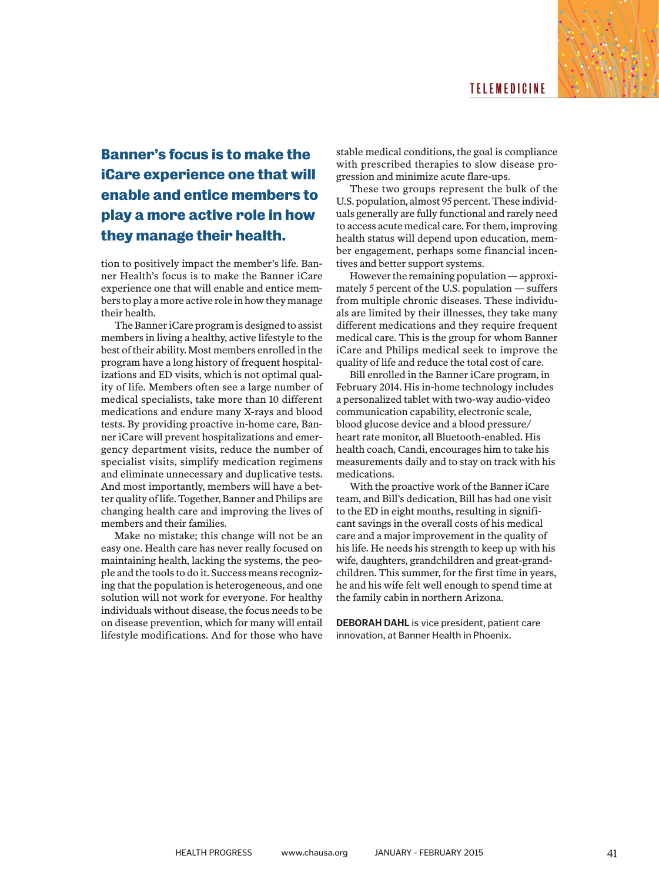## **Banner's focus is to make the iCare experience one that will enable and entice members to play a more active role in how they manage their health.**

tion to positively impact the member's life. Banner Health's focus is to make the Banner iCare experience one that will enable and entice members to play a more active role in how they manage their health.

The Banner iCare program is designed to assist members in living a healthy, active lifestyle to the best of their ability. Most members enrolled in the program have a long history of frequent hospitalizations and ED visits, which is not optimal quality of life. Members often see a large number of medical specialists, take more than 10 different medications and endure many X-rays and blood tests. By providing proactive in-home care, Banner iCare will prevent hospitalizations and emergency department visits, reduce the number of specialist visits, simplify medication regimens and eliminate unnecessary and duplicative tests. And most importantly, members will have a better quality of life. Together, Banner and Philips are changing health care and improving the lives of members and their families.

Make no mistake; this change will not be an easy one. Health care has never really focused on maintaining health, lacking the systems, the people and the tools to do it. Success means recognizing that the population is heterogeneous, and one solution will not work for everyone. For healthy individuals without disease, the focus needs to be on disease prevention, which for many will entail lifestyle modifications. And for those who have stable medical conditions, the goal is compliance with prescribed therapies to slow disease progression and minimize acute flare-ups.

These two groups represent the bulk of the U.S. population, almost 95 percent. These individuals generally are fully functional and rarely need to access acute medical care. For them, improving health status will depend upon education, member engagement, perhaps some financial incentives and better support systems.

However the remaining population — approximately 5 percent of the U.S. population — suffers from multiple chronic diseases. These individuals are limited by their illnesses, they take many different medications and they require frequent medical care. This is the group for whom Banner iCare and Philips medical seek to improve the quality of life and reduce the total cost of care.

Bill enrolled in the Banner iCare program, in February 2014. His in-home technology includes a personalized tablet with two-way audio-video communication capability, electronic scale, blood glucose device and a blood pressure/ heart rate monitor, all Bluetooth-enabled. His health coach, Candi, encourages him to take his measurements daily and to stay on track with his medications.

With the proactive work of the Banner iCare team, and Bill's dedication, Bill has had one visit to the ED in eight months, resulting in significant savings in the overall costs of his medical care and a major improvement in the quality of his life. He needs his strength to keep up with his wife, daughters, grandchildren and great-grandchildren. This summer, for the first time in years, he and his wife felt well enough to spend time at the family cabin in northern Arizona.

**DEBORAH DAHL** is vice president, patient care innovation, at Banner Health in Phoenix.